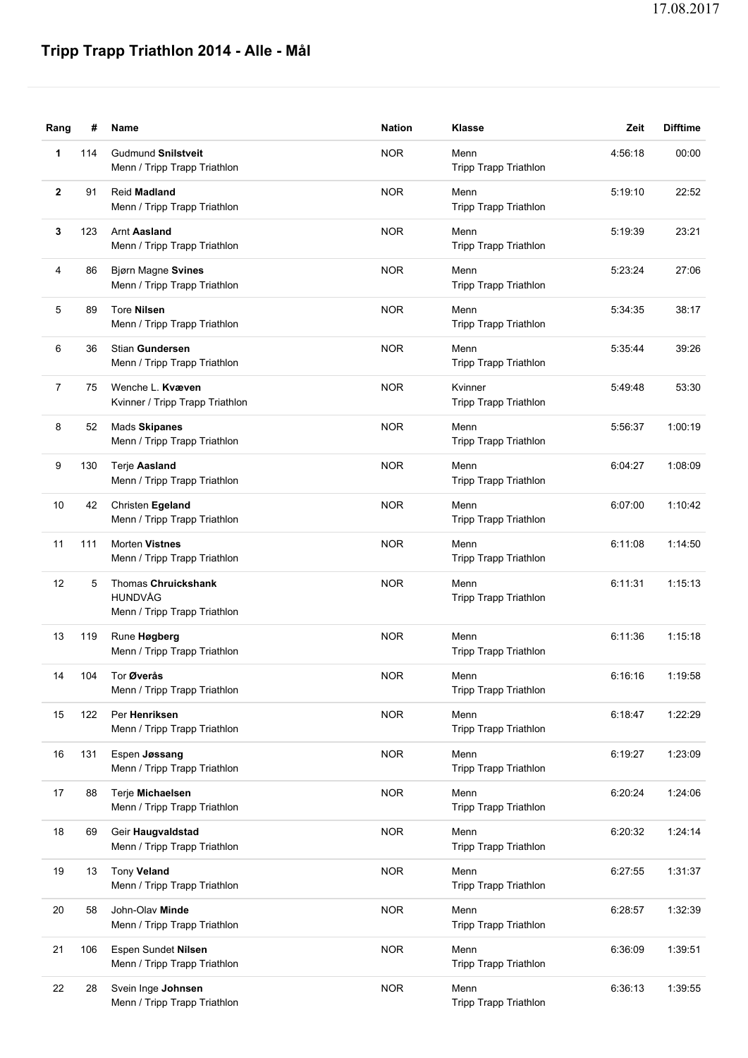## **Tripp Trapp Triathlon 2014 - Alle - Mål**

| Rang         | #   | Name                                                                  | <b>Nation</b> | Klasse                               | Zeit    | <b>Difftime</b> |
|--------------|-----|-----------------------------------------------------------------------|---------------|--------------------------------------|---------|-----------------|
| 1            | 114 | <b>Gudmund Snilstveit</b><br>Menn / Tripp Trapp Triathlon             | <b>NOR</b>    | Menn<br><b>Tripp Trapp Triathlon</b> | 4:56:18 | 00:00           |
| $\mathbf{2}$ | 91  | Reid Madland<br>Menn / Tripp Trapp Triathlon                          | <b>NOR</b>    | Menn<br>Tripp Trapp Triathlon        | 5:19:10 | 22:52           |
| 3            | 123 | <b>Arnt Aasland</b><br>Menn / Tripp Trapp Triathlon                   | <b>NOR</b>    | Menn<br><b>Tripp Trapp Triathlon</b> | 5:19:39 | 23:21           |
| 4            | 86  | Bjørn Magne Svines<br>Menn / Tripp Trapp Triathlon                    | <b>NOR</b>    | Menn<br><b>Tripp Trapp Triathlon</b> | 5:23:24 | 27:06           |
| 5            | 89  | <b>Tore Nilsen</b><br>Menn / Tripp Trapp Triathlon                    | <b>NOR</b>    | Menn<br>Tripp Trapp Triathlon        | 5:34:35 | 38:17           |
| 6            | 36  | Stian Gundersen<br>Menn / Tripp Trapp Triathlon                       | <b>NOR</b>    | Menn<br>Tripp Trapp Triathlon        | 5:35:44 | 39:26           |
| 7            | 75  | Wenche L. Kvæven<br>Kvinner / Tripp Trapp Triathlon                   | <b>NOR</b>    | Kvinner<br>Tripp Trapp Triathlon     | 5:49:48 | 53:30           |
| 8            | 52  | Mads Skipanes<br>Menn / Tripp Trapp Triathlon                         | <b>NOR</b>    | Menn<br>Tripp Trapp Triathlon        | 5:56:37 | 1:00:19         |
| 9            | 130 | Terje Aasland<br>Menn / Tripp Trapp Triathlon                         | <b>NOR</b>    | Menn<br>Tripp Trapp Triathlon        | 6:04:27 | 1:08:09         |
| 10           | 42  | Christen Egeland<br>Menn / Tripp Trapp Triathlon                      | <b>NOR</b>    | Menn<br>Tripp Trapp Triathlon        | 6:07:00 | 1:10:42         |
| 11           | 111 | <b>Morten Vistnes</b><br>Menn / Tripp Trapp Triathlon                 | <b>NOR</b>    | Menn<br>Tripp Trapp Triathlon        | 6:11:08 | 1:14:50         |
| 12           | 5   | <b>Thomas Chruickshank</b><br>HUNDVÅG<br>Menn / Tripp Trapp Triathlon | <b>NOR</b>    | Menn<br>Tripp Trapp Triathlon        | 6:11:31 | 1:15:13         |
| 13           | 119 | Rune Høgberg<br>Menn / Tripp Trapp Triathlon                          | <b>NOR</b>    | Menn<br>Tripp Trapp Triathlon        | 6:11:36 | 1:15:18         |
| 14           | 104 | Tor Øverås<br>Menn / Tripp Trapp Triathlon                            | <b>NOR</b>    | Menn<br><b>Tripp Trapp Triathlon</b> | 6:16:16 | 1:19:58         |
| 15           | 122 | Per Henriksen<br>Menn / Tripp Trapp Triathlon                         | <b>NOR</b>    | Menn<br>Tripp Trapp Triathlon        | 6:18:47 | 1:22:29         |
| 16           | 131 | Espen Jøssang<br>Menn / Tripp Trapp Triathlon                         | <b>NOR</b>    | Menn<br>Tripp Trapp Triathlon        | 6:19:27 | 1:23:09         |
| 17           | 88  | Terje Michaelsen<br>Menn / Tripp Trapp Triathlon                      | <b>NOR</b>    | Menn<br>Tripp Trapp Triathlon        | 6:20:24 | 1:24:06         |
| 18           | 69  | Geir Haugvaldstad<br>Menn / Tripp Trapp Triathlon                     | <b>NOR</b>    | Menn<br>Tripp Trapp Triathlon        | 6:20:32 | 1:24:14         |
| 19           | 13  | Tony Veland<br>Menn / Tripp Trapp Triathlon                           | <b>NOR</b>    | Menn<br><b>Tripp Trapp Triathlon</b> | 6:27:55 | 1:31:37         |
| 20           | 58  | John-Olav Minde<br>Menn / Tripp Trapp Triathlon                       | <b>NOR</b>    | Menn<br>Tripp Trapp Triathlon        | 6:28:57 | 1:32:39         |
| 21           | 106 | Espen Sundet Nilsen<br>Menn / Tripp Trapp Triathlon                   | <b>NOR</b>    | Menn<br>Tripp Trapp Triathlon        | 6:36:09 | 1:39:51         |
| 22           | 28  | Svein Inge Johnsen<br>Menn / Tripp Trapp Triathlon                    | <b>NOR</b>    | Menn<br>Tripp Trapp Triathlon        | 6:36:13 | 1:39:55         |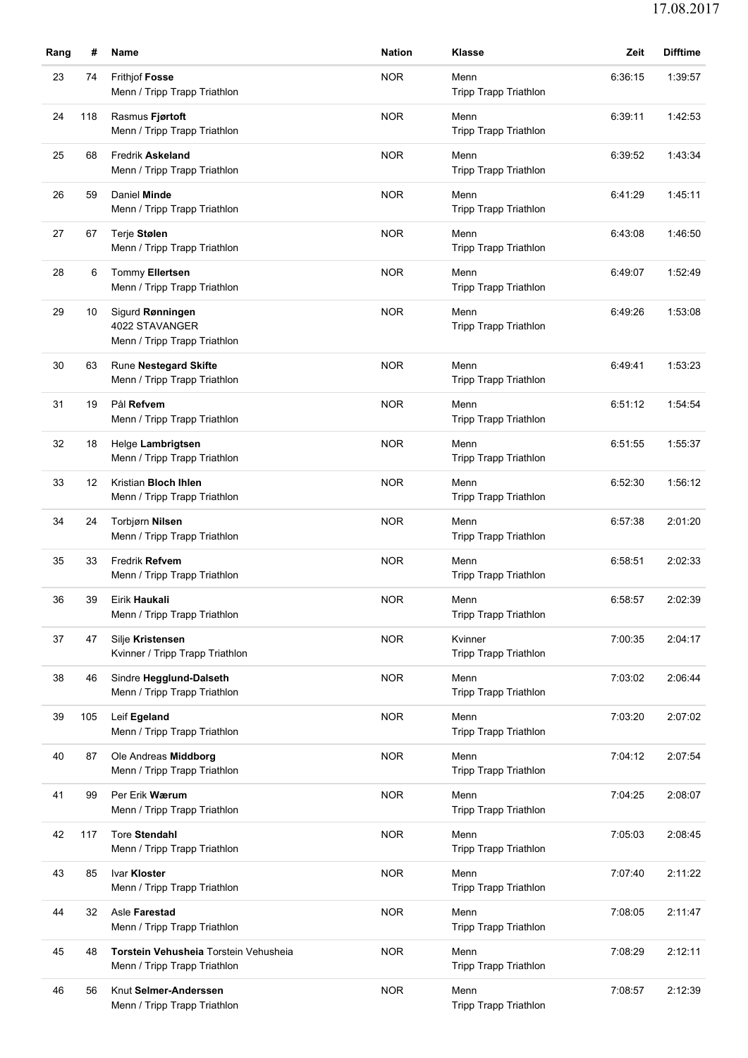| Rang | #   | Name                                                                  | <b>Nation</b> | <b>Klasse</b>                        | Zeit    | <b>Difftime</b> |
|------|-----|-----------------------------------------------------------------------|---------------|--------------------------------------|---------|-----------------|
| 23   | 74  | <b>Frithjof Fosse</b><br>Menn / Tripp Trapp Triathlon                 | <b>NOR</b>    | Menn<br>Tripp Trapp Triathlon        | 6:36:15 | 1:39:57         |
| 24   | 118 | Rasmus Fjørtoft<br>Menn / Tripp Trapp Triathlon                       | <b>NOR</b>    | Menn<br>Tripp Trapp Triathlon        | 6:39:11 | 1:42:53         |
| 25   | 68  | <b>Fredrik Askeland</b><br>Menn / Tripp Trapp Triathlon               | <b>NOR</b>    | Menn<br><b>Tripp Trapp Triathlon</b> | 6:39:52 | 1:43:34         |
| 26   | 59  | Daniel Minde<br>Menn / Tripp Trapp Triathlon                          | <b>NOR</b>    | Menn<br>Tripp Trapp Triathlon        | 6:41:29 | 1:45:11         |
| 27   | 67  | Terje Stølen<br>Menn / Tripp Trapp Triathlon                          | <b>NOR</b>    | Menn<br>Tripp Trapp Triathlon        | 6:43:08 | 1:46:50         |
| 28   | 6   | Tommy Ellertsen<br>Menn / Tripp Trapp Triathlon                       | <b>NOR</b>    | Menn<br>Tripp Trapp Triathlon        | 6:49:07 | 1:52:49         |
| 29   | 10  | Sigurd Rønningen<br>4022 STAVANGER<br>Menn / Tripp Trapp Triathlon    | <b>NOR</b>    | Menn<br>Tripp Trapp Triathlon        | 6:49:26 | 1:53:08         |
| 30   | 63  | Rune Nestegard Skifte<br>Menn / Tripp Trapp Triathlon                 | <b>NOR</b>    | Menn<br><b>Tripp Trapp Triathlon</b> | 6:49:41 | 1:53:23         |
| 31   | 19  | Pål Refvem<br>Menn / Tripp Trapp Triathlon                            | <b>NOR</b>    | Menn<br>Tripp Trapp Triathlon        | 6:51:12 | 1:54:54         |
| 32   | 18  | Helge Lambrigtsen<br>Menn / Tripp Trapp Triathlon                     | <b>NOR</b>    | Menn<br><b>Tripp Trapp Triathlon</b> | 6:51:55 | 1:55:37         |
| 33   | 12  | Kristian Bloch Ihlen<br>Menn / Tripp Trapp Triathlon                  | <b>NOR</b>    | Menn<br>Tripp Trapp Triathlon        | 6:52:30 | 1:56:12         |
| 34   | 24  | Torbjørn Nilsen<br>Menn / Tripp Trapp Triathlon                       | <b>NOR</b>    | Menn<br>Tripp Trapp Triathlon        | 6:57:38 | 2:01:20         |
| 35   | 33  | Fredrik Refvem<br>Menn / Tripp Trapp Triathlon                        | <b>NOR</b>    | Menn<br><b>Tripp Trapp Triathlon</b> | 6:58:51 | 2:02:33         |
| 36   | 39  | Eirik Haukali<br>Menn / Tripp Trapp Triathlon                         | <b>NOR</b>    | Menn<br>Tripp Trapp Triathlon        | 6:58:57 | 2:02:39         |
| 37   | 47  | Silje Kristensen<br>Kvinner / Tripp Trapp Triathlon                   | <b>NOR</b>    | Kvinner<br>Tripp Trapp Triathlon     | 7:00:35 | 2:04:17         |
| 38   | 46  | Sindre Hegglund-Dalseth<br>Menn / Tripp Trapp Triathlon               | <b>NOR</b>    | Menn<br><b>Tripp Trapp Triathlon</b> | 7:03:02 | 2:06:44         |
| 39   | 105 | Leif Egeland<br>Menn / Tripp Trapp Triathlon                          | <b>NOR</b>    | Menn<br>Tripp Trapp Triathlon        | 7:03:20 | 2:07:02         |
| 40   | 87  | Ole Andreas Middborg<br>Menn / Tripp Trapp Triathlon                  | <b>NOR</b>    | Menn<br><b>Tripp Trapp Triathlon</b> | 7:04:12 | 2:07:54         |
| 41   | 99  | Per Erik Wærum<br>Menn / Tripp Trapp Triathlon                        | <b>NOR</b>    | Menn<br>Tripp Trapp Triathlon        | 7:04:25 | 2:08:07         |
| 42   | 117 | Tore Stendahl<br>Menn / Tripp Trapp Triathlon                         | <b>NOR</b>    | Menn<br>Tripp Trapp Triathlon        | 7:05:03 | 2:08:45         |
| 43   | 85  | Ivar Kloster<br>Menn / Tripp Trapp Triathlon                          | <b>NOR</b>    | Menn<br><b>Tripp Trapp Triathlon</b> | 7:07:40 | 2:11:22         |
| 44   | 32  | Asle Farestad<br>Menn / Tripp Trapp Triathlon                         | <b>NOR</b>    | Menn<br>Tripp Trapp Triathlon        | 7:08:05 | 2:11:47         |
| 45   | 48  | Torstein Vehusheia Torstein Vehusheia<br>Menn / Tripp Trapp Triathlon | <b>NOR</b>    | Menn<br>Tripp Trapp Triathlon        | 7:08:29 | 2:12:11         |
| 46   | 56  | Knut Selmer-Anderssen<br>Menn / Tripp Trapp Triathlon                 | <b>NOR</b>    | Menn<br>Tripp Trapp Triathlon        | 7:08:57 | 2:12:39         |